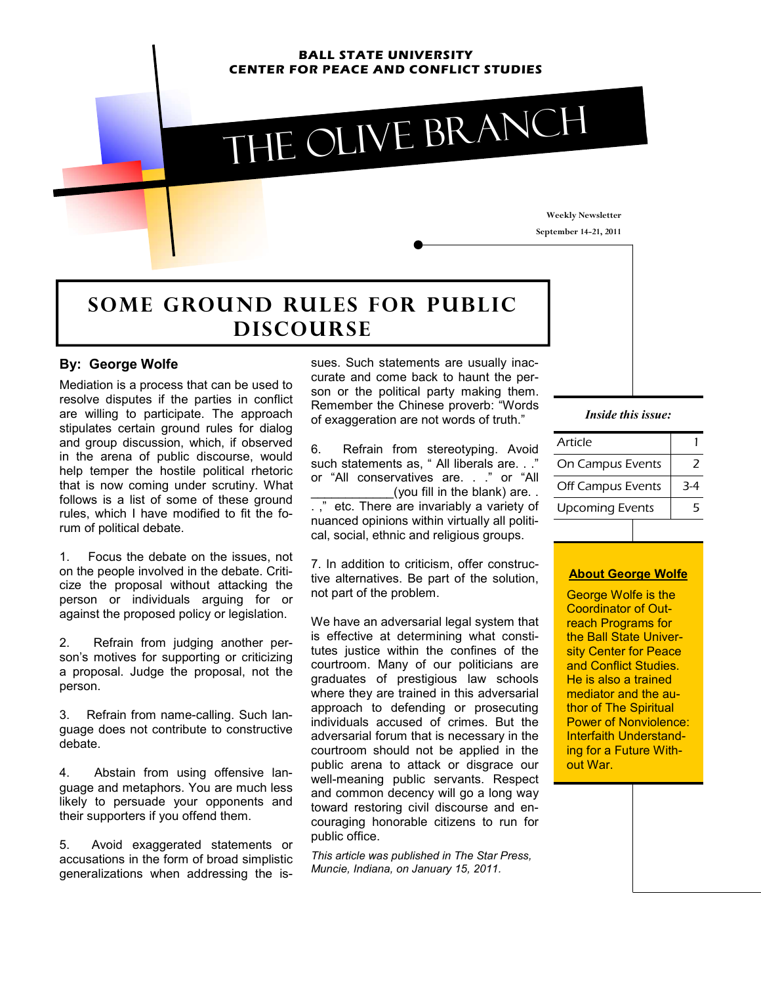#### **BALL STATE UNIVERSITY CENTER FOR PEACE AND CONFLICT STUDIES**



**Weekly Newsletter September 14-21, 2011** 

# **SOME GROUND RULES FOR PUBLIC d** DISCOURSE

#### **By: George Wolfe**

Mediation is a process that can be used to resolve disputes if the parties in conflict are willing to participate. The approach stipulates certain ground rules for dialog and group discussion, which, if observed in the arena of public discourse, would help temper the hostile political rhetoric that is now coming under scrutiny. What follows is a list of some of these ground rules, which I have modified to fit the forum of political debate.

1. Focus the debate on the issues, not on the people involved in the debate. Criticize the proposal without attacking the person or individuals arguing for or against the proposed policy or legislation.

2. Refrain from judging another person's motives for supporting or criticizing a proposal. Judge the proposal, not the person.

3. Refrain from name-calling. Such language does not contribute to constructive debate.

4. Abstain from using offensive language and metaphors. You are much less likely to persuade your opponents and their supporters if you offend them.

5. Avoid exaggerated statements or accusations in the form of broad simplistic generalizations when addressing the issues. Such statements are usually inaccurate and come back to haunt the person or the political party making them. Remember the Chinese proverb: "Words of exaggeration are not words of truth."

6. Refrain from stereotyping. Avoid such statements as, " All liberals are. . ." or "All conservatives are. . ." or "All \_(you fill in the blank) are. . etc. There are invariably a variety of nuanced opinions within virtually all political, social, ethnic and religious groups.

7. In addition to criticism, offer constructive alternatives. Be part of the solution, not part of the problem.

We have an adversarial legal system that is effective at determining what constitutes justice within the confines of the courtroom. Many of our politicians are graduates of prestigious law schools where they are trained in this adversarial approach to defending or prosecuting individuals accused of crimes. But the adversarial forum that is necessary in the courtroom should not be applied in the public arena to attack or disgrace our well-meaning public servants. Respect and common decency will go a long way toward restoring civil discourse and encouraging honorable citizens to run for public office.

*This article was published in The Star Press, Muncie, Indiana, on January 15, 2011.* 

#### *Inside this issue:*

| Article                |     |
|------------------------|-----|
| On Campus Events       |     |
| Off Campus Events      | 3-4 |
| <b>Upcoming Events</b> |     |

### **About George Wolfe**

George Wolfe is the Coordinator of Outreach Programs for the Ball State University Center for Peace and Conflict Studies. He is also a trained mediator and the author of The Spiritual Power of Nonviolence: Interfaith Understanding for a Future Without War.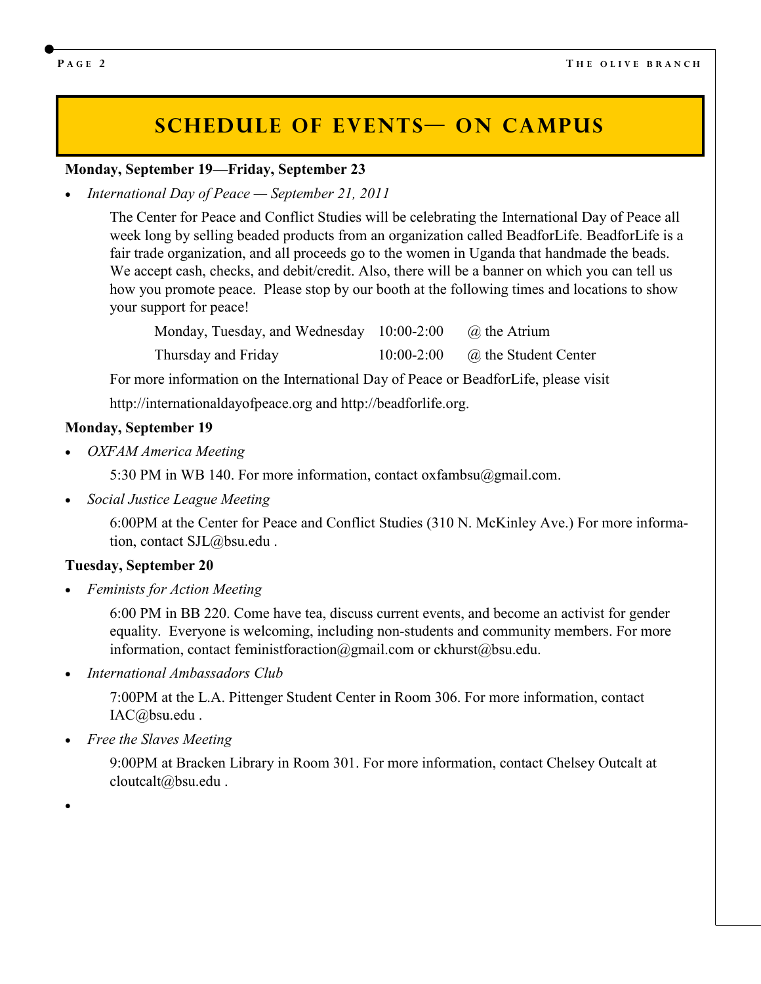## **SCHEDULE OF EVENTS ON CAMPUS**

### **Monday, September 19—Friday, September 23**

• *International Day of Peace — September 21, 2011* 

 The Center for Peace and Conflict Studies will be celebrating the International Day of Peace all week long by selling beaded products from an organization called BeadforLife. BeadforLife is a fair trade organization, and all proceeds go to the women in Uganda that handmade the beads. We accept cash, checks, and debit/credit. Also, there will be a banner on which you can tell us how you promote peace. Please stop by our booth at the following times and locations to show your support for peace!

Monday, Tuesday, and Wednesday 10:00-2:00  $\qquad \qquad \textcircled{a}$  the Atrium Thursday and Friday 10:00-2:00 @ the Student Center

For more information on the International Day of Peace or BeadforLife, please visit

http://internationaldayofpeace.org and http://beadforlife.org.

#### **Monday, September 19**

• *OXFAM America Meeting*

5:30 PM in WB 140. For more information, contact oxfambsu@gmail.com.

• *Social Justice League Meeting*

6:00PM at the Center for Peace and Conflict Studies (310 N. McKinley Ave.) For more information, contact SJL@bsu.edu .

#### **Tuesday, September 20**

• *Feminists for Action Meeting* 

6:00 PM in BB 220. Come have tea, discuss current events, and become an activist for gender equality. Everyone is welcoming, including non-students and community members. For more information, contact feministforaction@gmail.com or ckhurst@bsu.edu.

• *International Ambassadors Club* 

7:00PM at the L.A. Pittenger Student Center in Room 306. For more information, contact IAC@bsu.edu .

• *Free the Slaves Meeting* 

9:00PM at Bracken Library in Room 301. For more information, contact Chelsey Outcalt at cloutcalt@bsu.edu .

•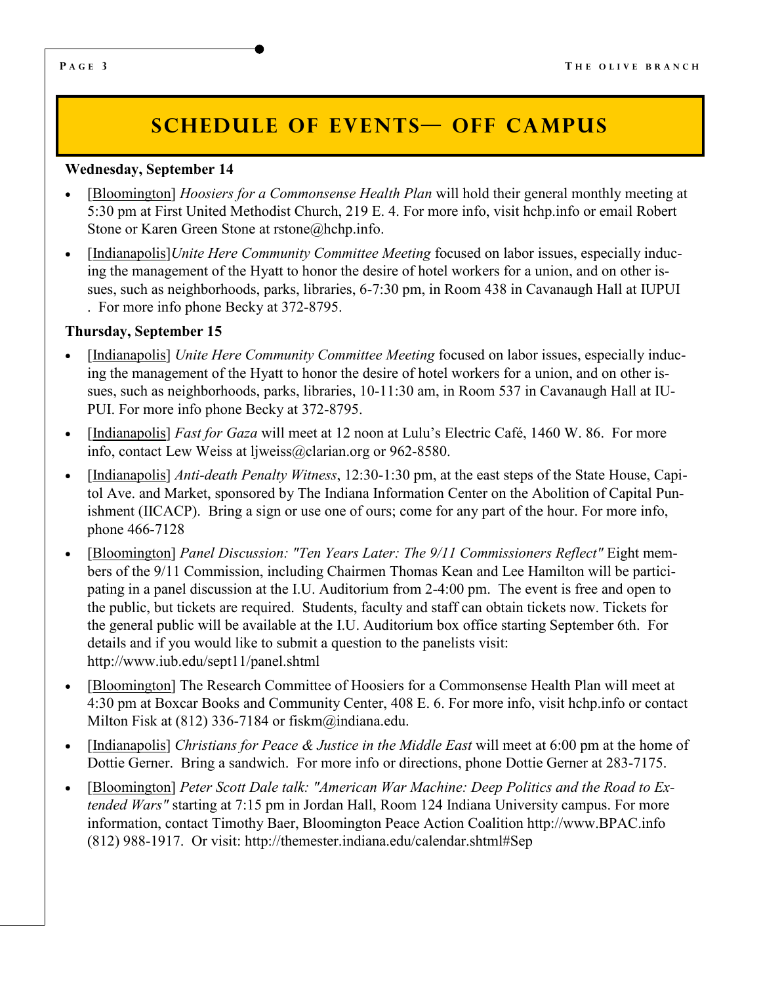# **SCHEDULE OF EVENTS OFF CAMPUS**

### **Wednesday, September 14**

- [Bloomington] *Hoosiers for a Commonsense Health Plan* will hold their general monthly meeting at 5:30 pm at First United Methodist Church, 219 E. 4. For more info, visit hchp.info or email Robert Stone or Karen Green Stone at rstone@hchp.info.
- [Indianapolis]*Unite Here Community Committee Meeting* focused on labor issues, especially inducing the management of the Hyatt to honor the desire of hotel workers for a union, and on other issues, such as neighborhoods, parks, libraries, 6-7:30 pm, in Room 438 in Cavanaugh Hall at IUPUI . For more info phone Becky at 372-8795.

### **Thursday, September 15**

- [Indianapolis] *Unite Here Community Committee Meeting* focused on labor issues, especially inducing the management of the Hyatt to honor the desire of hotel workers for a union, and on other issues, such as neighborhoods, parks, libraries, 10-11:30 am, in Room 537 in Cavanaugh Hall at IU-PUI. For more info phone Becky at 372-8795.
- [Indianapolis] *Fast for Gaza* will meet at 12 noon at Lulu's Electric Café, 1460 W. 86. For more info, contact Lew Weiss at ljweiss@clarian.org or 962-8580.
- [Indianapolis] *Anti-death Penalty Witness*, 12:30-1:30 pm, at the east steps of the State House, Capitol Ave. and Market, sponsored by The Indiana Information Center on the Abolition of Capital Punishment (IICACP). Bring a sign or use one of ours; come for any part of the hour. For more info, phone 466-7128
- [Bloomington] *Panel Discussion: "Ten Years Later: The 9/11 Commissioners Reflect"* Eight members of the 9/11 Commission, including Chairmen Thomas Kean and Lee Hamilton will be participating in a panel discussion at the I.U. Auditorium from 2-4:00 pm. The event is free and open to the public, but tickets are required. Students, faculty and staff can obtain tickets now. Tickets for the general public will be available at the I.U. Auditorium box office starting September 6th. For details and if you would like to submit a question to the panelists visit: http://www.iub.edu/sept11/panel.shtml
- [Bloomington] The Research Committee of Hoosiers for a Commonsense Health Plan will meet at 4:30 pm at Boxcar Books and Community Center, 408 E. 6. For more info, visit hchp.info or contact Milton Fisk at (812) 336-7184 or fiskm@indiana.edu.
- [Indianapolis] *Christians for Peace & Justice in the Middle East* will meet at 6:00 pm at the home of Dottie Gerner. Bring a sandwich. For more info or directions, phone Dottie Gerner at 283-7175.
- [Bloomington] *Peter Scott Dale talk: "American War Machine: Deep Politics and the Road to Extended Wars"* starting at 7:15 pm in Jordan Hall, Room 124 Indiana University campus. For more information, contact Timothy Baer, Bloomington Peace Action Coalition http://www.BPAC.info (812) 988-1917. Or visit: http://themester.indiana.edu/calendar.shtml#Sep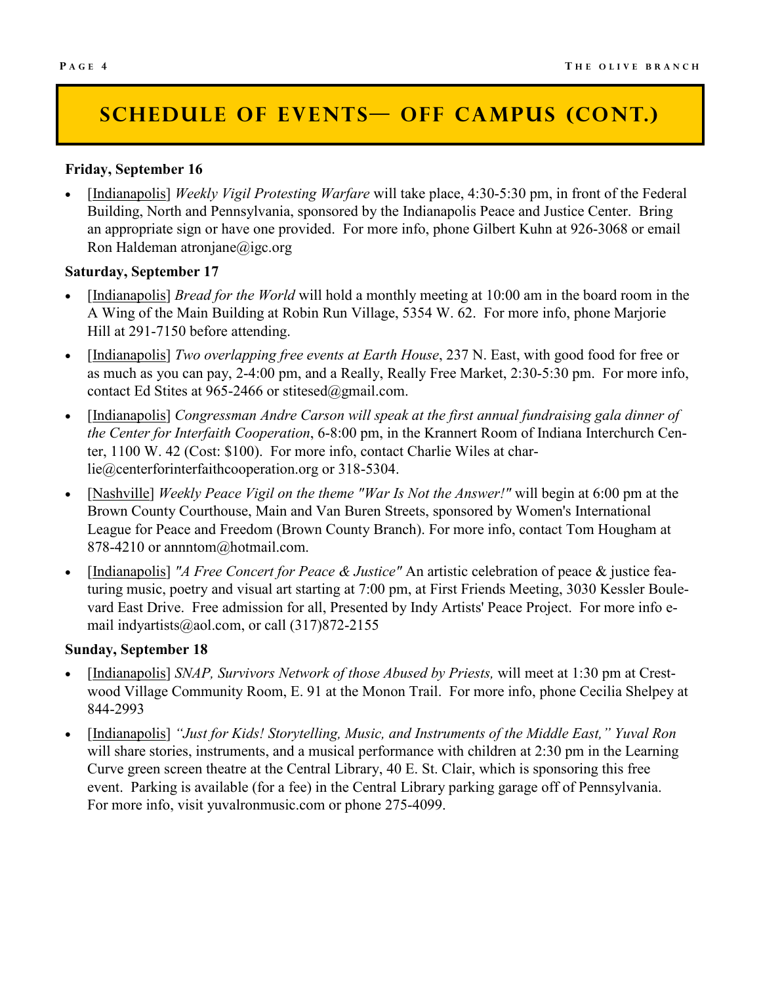# **SCHEDULE OF EVENTS— OFF CAMPUS (CONT.)**

### **Friday, September 16**

• [Indianapolis] *Weekly Vigil Protesting Warfare* will take place, 4:30-5:30 pm, in front of the Federal Building, North and Pennsylvania, sponsored by the Indianapolis Peace and Justice Center. Bring an appropriate sign or have one provided. For more info, phone Gilbert Kuhn at 926-3068 or email Ron Haldeman atronjane@igc.org

### **Saturday, September 17**

- [Indianapolis] *Bread for the World* will hold a monthly meeting at 10:00 am in the board room in the A Wing of the Main Building at Robin Run Village, 5354 W. 62. For more info, phone Marjorie Hill at 291-7150 before attending.
- [Indianapolis] *Two overlapping free events at Earth House*, 237 N. East, with good food for free or as much as you can pay, 2-4:00 pm, and a Really, Really Free Market, 2:30-5:30 pm. For more info, contact Ed Stites at 965-2466 or stitesed@gmail.com.
- [Indianapolis] *Congressman Andre Carson will speak at the first annual fundraising gala dinner of the Center for Interfaith Cooperation*, 6-8:00 pm, in the Krannert Room of Indiana Interchurch Center, 1100 W. 42 (Cost: \$100). For more info, contact Charlie Wiles at charlie@centerforinterfaithcooperation.org or 318-5304.
- [Nashville] *Weekly Peace Vigil on the theme "War Is Not the Answer!"* will begin at 6:00 pm at the Brown County Courthouse, Main and Van Buren Streets, sponsored by Women's International League for Peace and Freedom (Brown County Branch). For more info, contact Tom Hougham at 878-4210 or annntom@hotmail.com.
- [Indianapolis] *"A Free Concert for Peace & Justice"* An artistic celebration of peace & justice featuring music, poetry and visual art starting at 7:00 pm, at First Friends Meeting, 3030 Kessler Boulevard East Drive. Free admission for all, Presented by Indy Artists' Peace Project. For more info email indyartists@aol.com, or call (317)872-2155

### **Sunday, September 18**

- [Indianapolis] *SNAP, Survivors Network of those Abused by Priests,* will meet at 1:30 pm at Crestwood Village Community Room, E. 91 at the Monon Trail. For more info, phone Cecilia Shelpey at 844-2993
- [Indianapolis] *"Just for Kids! Storytelling, Music, and Instruments of the Middle East," Yuval Ron*  will share stories, instruments, and a musical performance with children at 2:30 pm in the Learning Curve green screen theatre at the Central Library, 40 E. St. Clair, which is sponsoring this free event. Parking is available (for a fee) in the Central Library parking garage off of Pennsylvania. For more info, visit yuvalronmusic.com or phone 275-4099.